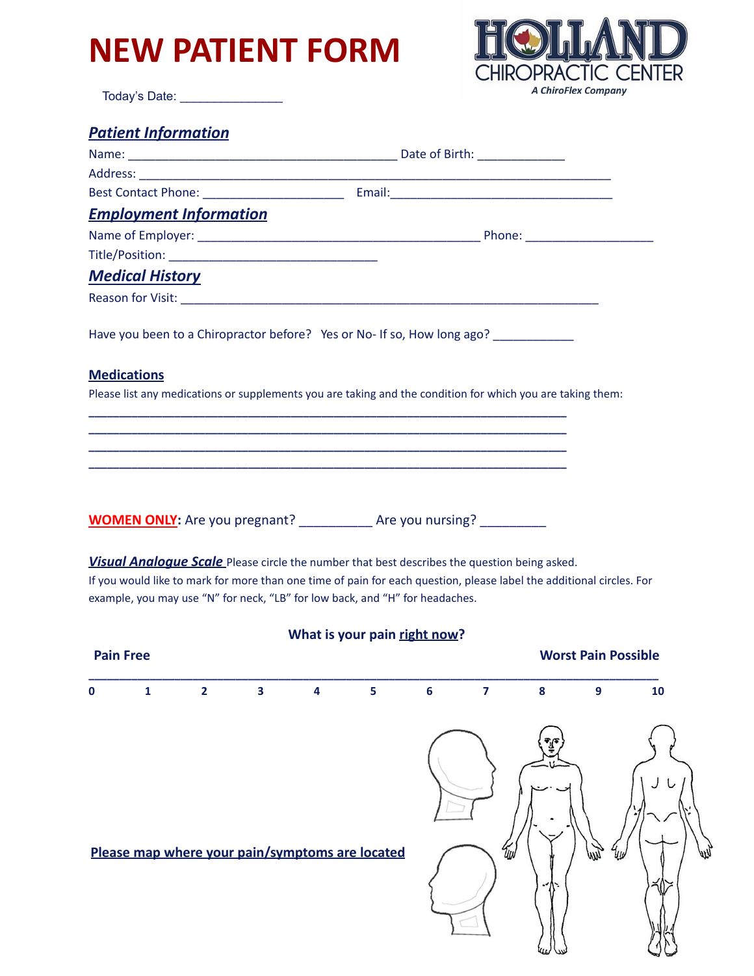# **NEW PATIENT FORM**



Today's Date: \_\_\_\_\_\_\_\_\_\_\_\_\_\_\_\_\_\_\_\_\_

| <b>Patient Information</b> |
|----------------------------|
|----------------------------|

| <b>Employment Information</b> |                                                                                                                                                                                     |
|-------------------------------|-------------------------------------------------------------------------------------------------------------------------------------------------------------------------------------|
|                               |                                                                                                                                                                                     |
|                               |                                                                                                                                                                                     |
| <b>Medical History</b>        |                                                                                                                                                                                     |
|                               |                                                                                                                                                                                     |
| <b>Medications</b>            | Have you been to a Chiropractor before? Yes or No- If so, How long ago? _________                                                                                                   |
|                               | Please list any medications or supplements you are taking and the condition for which you are taking them:                                                                          |
|                               | <u> 1980 - Johann Barn, amerikan bertama di sebagai bertama di sebagai bertama di sebagai bertama di sebagai ber</u><br><u> 1989 - Johann Stoff, amerikansk politiker (d. 1989)</u> |
|                               |                                                                                                                                                                                     |
|                               |                                                                                                                                                                                     |
|                               |                                                                                                                                                                                     |
|                               | <b>WOMEN ONLY:</b> Are you pregnant? _____________ Are you nursing? ___________                                                                                                     |
|                               | <b>Visual Analogue Scale</b> Please circle the number that best describes the question being asked.                                                                                 |
|                               | If you would like to mark for more than one time of pain for each question, please label the additional circles. For                                                                |

example, you may use "N" for neck, "LB" for low back, and "H" for headaches.

| What is your pain right now? |   |                |                         |                         |                                                 |                  |     |              |                            |    |
|------------------------------|---|----------------|-------------------------|-------------------------|-------------------------------------------------|------------------|-----|--------------|----------------------------|----|
| <b>Pain Free</b>             |   |                |                         |                         |                                                 |                  |     |              | <b>Worst Pain Possible</b> |    |
| $\bf{0}$                     | 1 | $\overline{2}$ | $\overline{\mathbf{3}}$ | $\overline{\mathbf{4}}$ | 5                                               | $\boldsymbol{6}$ | 7   | ${\bf 8}$    | 9                          | 10 |
|                              |   |                |                         |                         | Please map where your pain/symptoms are located |                  | Чuv | T<br>$\cdot$ | WY                         | W  |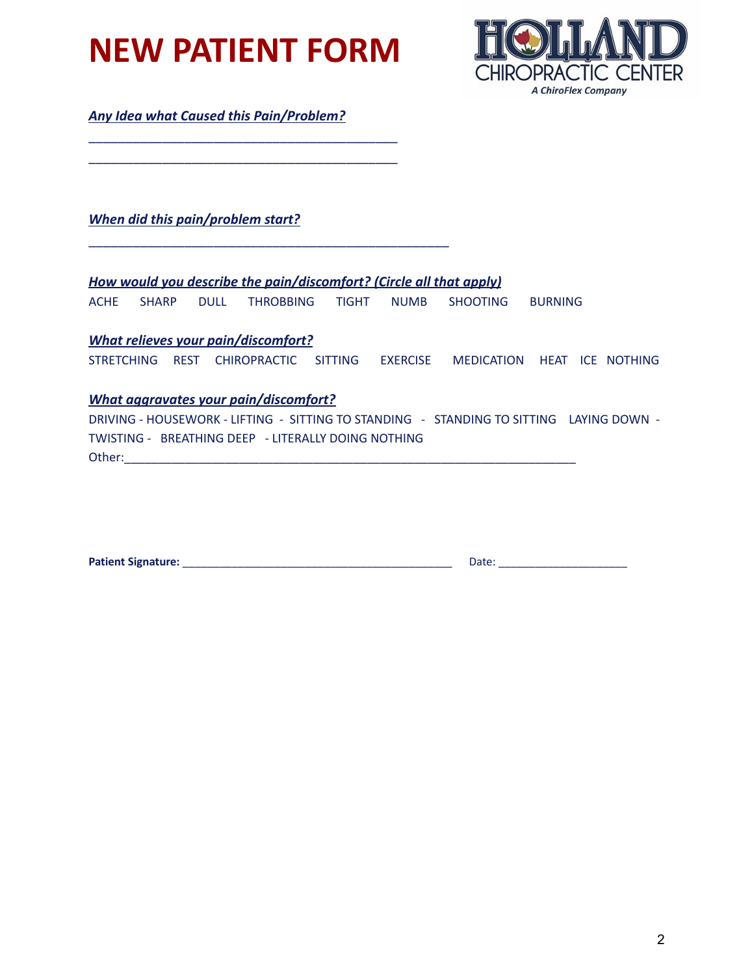**NEW PATIENT FORM**

\_\_\_\_\_\_\_\_\_\_\_\_\_\_\_\_\_\_\_\_\_\_\_\_\_\_\_\_\_\_\_\_\_\_\_\_\_\_\_\_\_\_ \_\_\_\_\_\_\_\_\_\_\_\_\_\_\_\_\_\_\_\_\_\_\_\_\_\_\_\_\_\_\_\_\_\_\_\_\_\_\_\_\_\_



*Any Idea what Caused this Pain/Problem?*

*When did this pain/problem start?*

*How would you describe the pain/discomfort? (Circle all that apply)*

\_\_\_\_\_\_\_\_\_\_\_\_\_\_\_\_\_\_\_\_\_\_\_\_\_\_\_\_\_\_\_\_\_\_\_\_\_\_\_\_\_\_\_\_\_\_\_\_\_

ACHE SHARP DULL THROBBING TIGHT NUMB SHOOTING BURNING

### *What relieves your pain/discomfort?*

STRETCHING REST CHIROPRACTIC SITTING EXERCISE MEDICATION HEAT ICE NOTHING

### *What aggravates your pain/discomfort?*

DRIVING - HOUSEWORK - LIFTING - SITTING TO STANDING - STANDING TO SITTING LAYING DOWN - TWISTING - BREATHING DEEP - LITERALLY DOING NOTHING Other:\_\_\_\_\_\_\_\_\_\_\_\_\_\_\_\_\_\_\_\_\_\_\_\_\_\_\_\_\_\_\_\_\_\_\_\_\_\_\_\_\_\_\_\_\_\_\_\_\_\_\_\_\_\_\_\_\_\_\_\_\_\_\_\_\_\_\_

| Patient Signature: | Date: |
|--------------------|-------|
|                    |       |